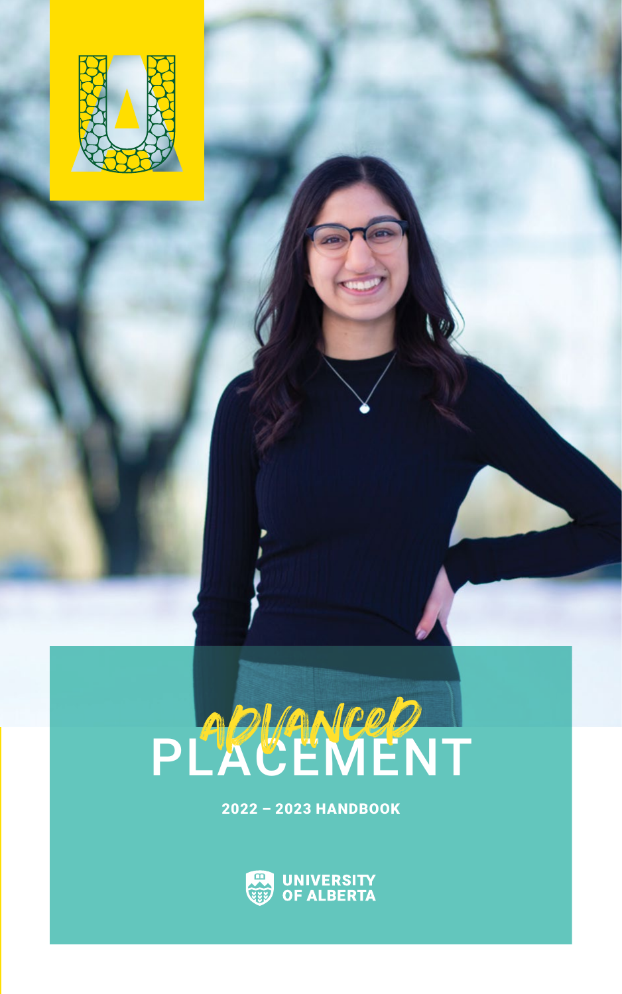

# PLACEMENT advanced

2022 – 2023 HANDBOOK

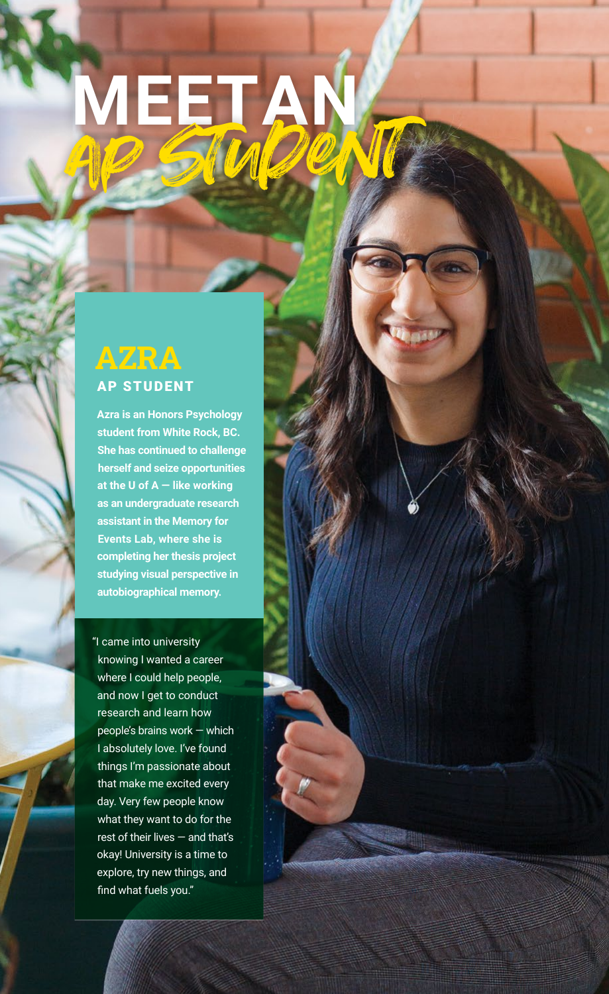# MEETAD

### **AZRA** AP STUDENT

**Azra is an Honors Psychology student from White Rock, BC. She has continued to challenge herself and seize opportunities at the U of A — like working as an undergraduate research assistant in the Memory for Events Lab, where she is completing her thesis project studying visual perspective in autobiographical memory.**

"I came into university knowing I wanted a career where I could help people, and now I get to conduct research and learn how people's brains work — which I absolutely love. I've found things I'm passionate about that make me excited every day. Very few people know what they want to do for the rest of their lives — and that's okay! University is a time to explore, try new things, and find what fuels you."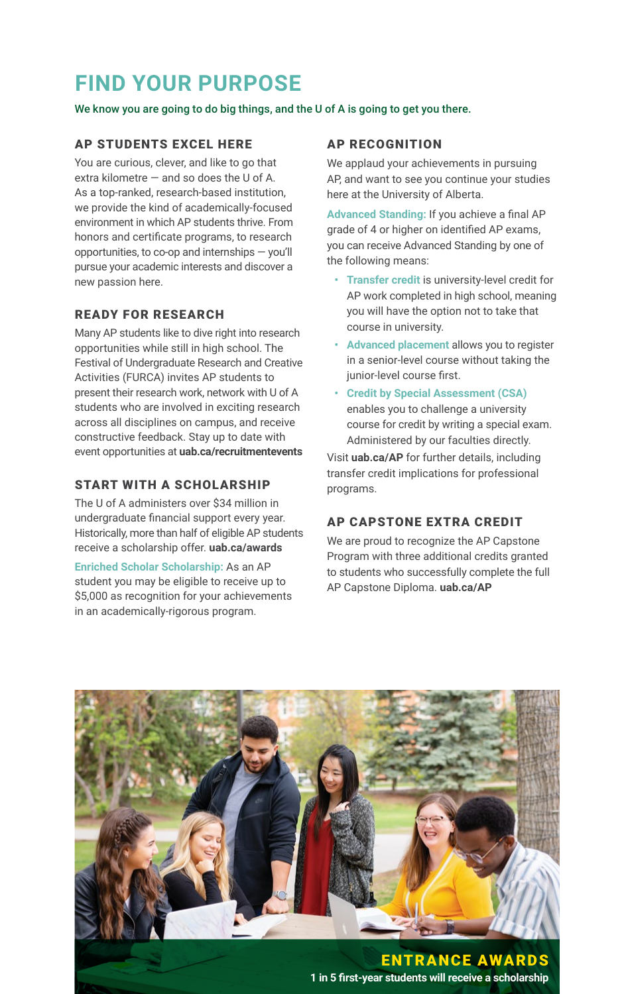# **FIND YOUR PURPOSE**

We know you are going to do big things, and the U of A is going to get you there.

#### AP STUDENTS EXCEL HERE

You are curious, clever, and like to go that extra kilometre  $-$  and so does the U of A. As a top-ranked, research-based institution, we provide the kind of academically-focused environment in which AP students thrive. From honors and certificate programs, to research opportunities, to co-op and internships — you'll pursue your academic interests and discover a new passion here.

#### READY FOR RESEARCH

Many AP students like to dive right into research opportunities while still in high school. The Festival of Undergraduate Research and Creative Activities (FURCA) invites AP students to present their research work, network with U of A students who are involved in exciting research across all disciplines on campus, and receive constructive feedback. Stay up to date with event opportunities at **uab.ca/recruitmentevents**

#### START WITH A SCHOLARSHIP

The U of A administers over \$34 million in undergraduate financial support every year. Historically, more than half of eligible AP students receive a scholarship offer. **uab.ca/awards**

**Enriched Scholar Scholarship:** As an AP student you may be eligible to receive up to \$5,000 as recognition for your achievements in an academically-rigorous program.

#### AP RECOGNITION

We applaud your achievements in pursuing AP, and want to see you continue your studies here at the University of Alberta.

**Advanced Standing:** If you achieve a final AP grade of 4 or higher on identified AP exams, you can receive Advanced Standing by one of the following means:

- **• Transfer credit** is university-level credit for AP work completed in high school, meaning you will have the option not to take that course in university.
- **• Advanced placement** allows you to register in a senior-level course without taking the junior-level course first.
- **• Credit by Special Assessment (CSA)** enables you to challenge a university course for credit by writing a special exam. Administered by our faculties directly.

Visit **uab.ca/AP** for further details, including transfer credit implications for professional programs.

#### AP CAPSTONE EXTRA CREDIT

We are proud to recognize the AP Capstone Program with three additional credits granted to students who successfully complete the full AP Capstone Diploma. **uab.ca/AP**

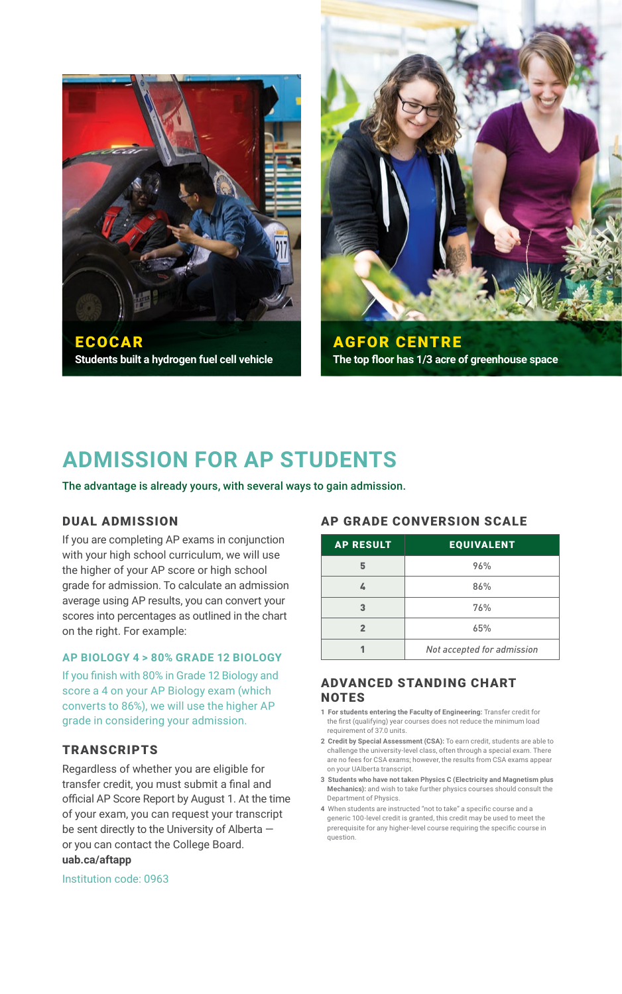



AGFOR CENTRE **The top floor has 1/3 acre of greenhouse space**

## **ADMISSION FOR AP STUDENTS**

The advantage is already yours, with several ways to gain admission.

#### DUAL ADMISSION

If you are completing AP exams in conjunction with your high school curriculum, we will use the higher of your AP score or high school grade for admission. To calculate an admission average using AP results, you can convert your scores into percentages as outlined in the chart on the right. For example:

#### **AP BIOLOGY 4 > 80% GRADE 12 BIOLOGY**

If you finish with 80% in Grade 12 Biology and score a 4 on your AP Biology exam (which converts to 86%), we will use the higher AP grade in considering your admission.

#### **TRANSCRIPTS**

Regardless of whether you are eligible for transfer credit, you must submit a final and official AP Score Report by August 1. At the time of your exam, you can request your transcript be sent directly to the University of Alberta or you can contact the College Board. **uab.ca/aftapp**

#### Institution code: 0963

#### AP GRADE CONVERSION SCALE

| <b>AP RESULT</b> | <b>EQUIVALENT</b>          |
|------------------|----------------------------|
|                  | 96%                        |
|                  | 86%                        |
|                  | 76%                        |
|                  | 65%                        |
|                  | Not accepted for admission |

#### ADVANCED STANDING CHART **NOTES**

- **1 For students entering the Faculty of Engineering:** Transfer credit for the first (qualifying) year courses does not reduce the minimum load requirement of 37.0 units.
- **2 Credit by Special Assessment (CSA):** To earn credit, students are able to challenge the university-level class, often through a special exam. There are no fees for CSA exams; however, the results from CSA exams appear on your UAlberta transcript.
- **3 Students who have not taken Physics C (Electricity and Magnetism plus Mechanics):** and wish to take further physics courses should consult the Department of Physics.
- **4** When students are instructed "not to take" a specific course and a generic 100-level credit is granted, this credit may be used to meet the prerequisite for any higher‑level course requiring the specific course in question.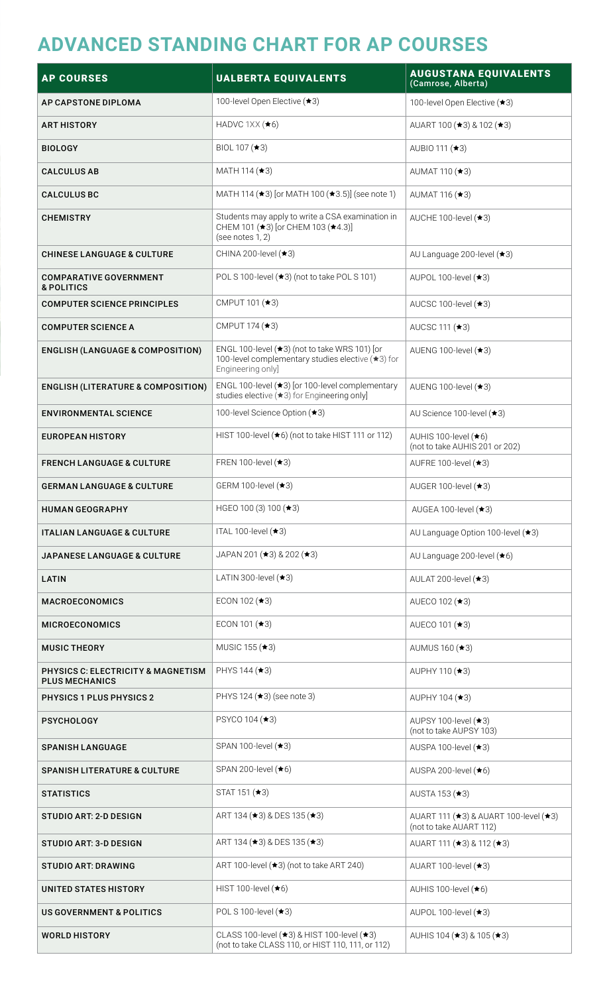### **ADVANCED STANDING CHART FOR AP COURSES**

| <b>AP COURSES</b>                                                      | <b>UALBERTA EQUIVALENTS</b>                                                                                             | <b>AUGUSTANA EQUIVALENTS</b><br>(Camrose, Alberta)               |
|------------------------------------------------------------------------|-------------------------------------------------------------------------------------------------------------------------|------------------------------------------------------------------|
| AP CAPSTONE DIPLOMA                                                    | 100-level Open Elective (★3)                                                                                            | 100-level Open Elective (★3)                                     |
| ART HISTORY                                                            | HADVC 1XX ( <b>★6</b> )                                                                                                 | AUART 100 ( $\star$ 3) & 102 ( $\star$ 3)                        |
| <b>BIOLOGY</b>                                                         | BIOL 107 (★3)                                                                                                           | AUBIO 111 (★3)                                                   |
| <b>CALCULUS AB</b>                                                     | MATH 114 $(*3)$                                                                                                         | AUMAT 110 (★3)                                                   |
| <b>CALCULUS BC</b>                                                     | MATH 114 (★3) [or MATH 100 (★3.5)] (see note 1)                                                                         | AUMAT 116 (★3)                                                   |
| <b>CHEMISTRY</b>                                                       | Students may apply to write a CSA examination in<br>CHEM 101 (★3) [or CHEM 103 (★4.3)]<br>(see notes 1, 2)              | AUCHE 100-level $(*3)$                                           |
| <b>CHINESE LANGUAGE &amp; CULTURE</b>                                  | CHINA 200-level (★3)                                                                                                    | AU Language 200-level (★3)                                       |
| <b>COMPARATIVE GOVERNMENT</b><br><b>&amp; POLITICS</b>                 | POLS 100-level (★3) (not to take POLS 101)                                                                              | AUPOL 100-level (★3)                                             |
| <b>COMPUTER SCIENCE PRINCIPLES</b>                                     | CMPUT 101 (★3)                                                                                                          | AUCSC 100-level $(*3)$                                           |
| <b>COMPUTER SCIENCE A</b>                                              | CMPUT 174 (★3)                                                                                                          | AUCSC 111 (★3)                                                   |
| <b>ENGLISH (LANGUAGE &amp; COMPOSITION)</b>                            | ENGL 100-level (★3) (not to take WRS 101) [or<br>100-level complementary studies elective (★3) for<br>Engineering only] | AUENG 100-level $(*3)$                                           |
| <b>ENGLISH (LITERATURE &amp; COMPOSITION)</b>                          | ENGL 100-level $(\star 3)$ [or 100-level complementary<br>studies elective (★3) for Engineering only]                   | AUENG 100-level (★3)                                             |
| <b>ENVIRONMENTAL SCIENCE</b>                                           | 100-level Science Option (★3)                                                                                           | AU Science 100-level (★3)                                        |
| <b>EUROPEAN HISTORY</b>                                                | HIST 100-level (★6) (not to take HIST 111 or 112)                                                                       | AUHIS 100-level $(*6)$<br>(not to take AUHIS 201 or 202)         |
| <b>FRENCH LANGUAGE &amp; CULTURE</b>                                   | FREN 100-level $(*3)$                                                                                                   | AUFRE 100-level $(*3)$                                           |
| <b>GERMAN LANGUAGE &amp; CULTURE</b>                                   | GERM 100-level (★3)                                                                                                     | AUGER 100-level $(\star 3)$                                      |
| <b>HUMAN GEOGRAPHY</b>                                                 | HGEO 100 (3) 100 ( $\star$ 3)                                                                                           | AUGEA 100-level (★3)                                             |
| <b>ITALIAN LANGUAGE &amp; CULTURE</b>                                  | ITAL 100-level $(*3)$                                                                                                   | AU Language Option 100-level (★3)                                |
| JAPANESE LANGUAGE & CULTURE                                            | JAPAN 201 $(*3)$ & 202 $(*3)$                                                                                           | AU Language 200-level (★6)                                       |
| LATIN                                                                  | LATIN 300-level $(*3)$                                                                                                  | AULAT 200-level (★3)                                             |
| <b>MACROECONOMICS</b>                                                  | ECON 102 $(*3)$                                                                                                         | AUECO 102 (★3)                                                   |
| <b>MICROECONOMICS</b>                                                  | ECON 101 $(*3)$                                                                                                         | AUECO 101 (★3)                                                   |
| <b>MUSIC THEORY</b>                                                    | MUSIC 155 (★3)                                                                                                          | AUMUS 160 (★3)                                                   |
| <b>PHYSICS C: ELECTRICITY &amp; MAGNETISM</b><br><b>PLUS MECHANICS</b> | PHYS 144 (★3)                                                                                                           | AUPHY 110 (★3)                                                   |
| <b>PHYSICS 1 PLUS PHYSICS 2</b>                                        | PHYS 124 (★3) (see note 3)                                                                                              | AUPHY 104 (★3)                                                   |
| PSYCHOLOGY                                                             | PSYCO 104 (★3)                                                                                                          | AUPSY 100-level (★3)<br>(not to take AUPSY 103)                  |
| <b>SPANISH LANGUAGE</b>                                                | SPAN 100-level (★3)                                                                                                     | AUSPA 100-level (★3)                                             |
| <b>SPANISH LITERATURE &amp; CULTURE</b>                                | SPAN 200-level (★6)                                                                                                     | AUSPA 200-level $(\star 6)$                                      |
| <b>STATISTICS</b>                                                      | STAT 151 (★3)                                                                                                           | AUSTA 153 (★3)                                                   |
| STUDIO ART: 2-D DESIGN                                                 | ART 134 ( $\star$ 3) & DES 135 ( $\star$ 3)                                                                             | AUART 111 (★3) & AUART 100-level (★3)<br>(not to take AUART 112) |
| STUDIO ART: 3-D DESIGN                                                 | ART 134 ( $\star$ 3) & DES 135 ( $\star$ 3)                                                                             | AUART 111 ( $\star$ 3) & 112 ( $\star$ 3)                        |
| <b>STUDIO ART: DRAWING</b>                                             | ART 100-level $(*3)$ (not to take ART 240)                                                                              | AUART 100-level (★3)                                             |
| UNITED STATES HISTORY                                                  | HIST 100-level $(*6)$                                                                                                   | AUHIS 100-level (★6)                                             |
| <b>US GOVERNMENT &amp; POLITICS</b>                                    | POL S 100-level (★3)                                                                                                    | AUPOL 100-level $(*3)$                                           |
| <b>WORLD HISTORY</b>                                                   | CLASS 100-level (★3) & HIST 100-level (★3)<br>(not to take CLASS 110, or HIST 110, 111, or 112)                         | AUHIS 104 ( $\star$ 3) & 105 ( $\star$ 3)                        |